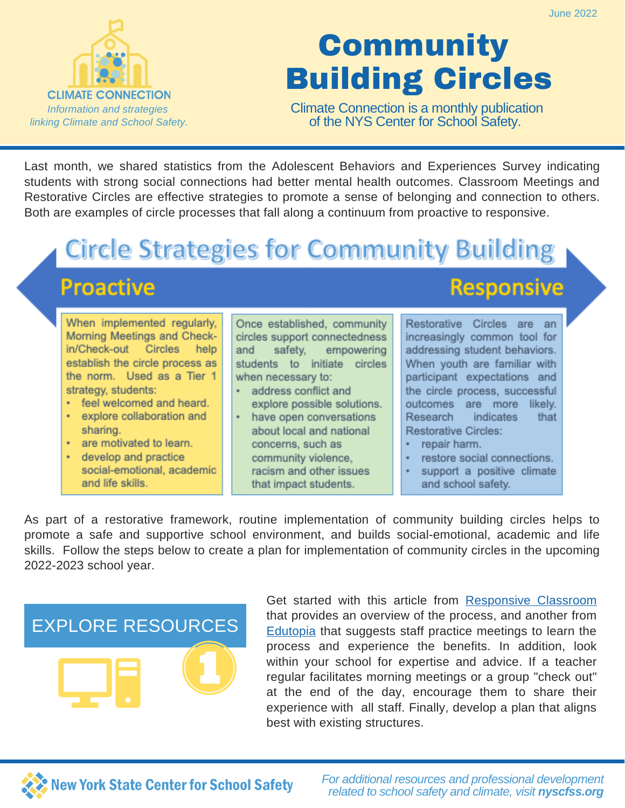

# **Community** Building Circles

Climate Connection is a monthly publication of the NYS Center for School Safety.

Last month, we shared statistics from the Adolescent Behaviors and Experiences Survey indicating students with strong social connections had better mental health outcomes. Classroom Meetings and Restorative Circles are effective strategies to promote a sense of belonging and connection to others. Both are examples of circle processes that fall along a continuum from proactive to responsive.

### **Circle Strategies for Community Building**

### **Proactive**

When implemented regularly. Morning Meetings and Checkin/Check-out Circles help establish the circle process as the norm. Used as a Tier 1 strategy, students:

- feel welcomed and heard.
- ¥. explore collaboration and sharing.
- are motivated to learn.
- develop and practice social-emotional, academic and life skills.

Once established, community circles support connectedness and safety, empowering students to initiate circles when necessary to:

- address conflict and explore possible solutions.
- have open conversations about local and national concerns, such as community violence, racism and other issues that impact students.

#### **Responsive**

Restorative Circles are an increasingly common tool for addressing student behaviors. When youth are familiar with participant expectations and the circle process, successful outcomes are more likely. Research indicates that **Restorative Circles:** 

- repair harm.
- restore social connections.
- support a positive climate and school safety.

As part of a restorative framework, routine implementation of community building circles helps to promote a safe and supportive school environment, and builds social-emotional, academic and life skills. Follow the steps below to create a plan for implementation of community circles in the upcoming 2022-2023 school year.

### EXPLORE RESOURCES